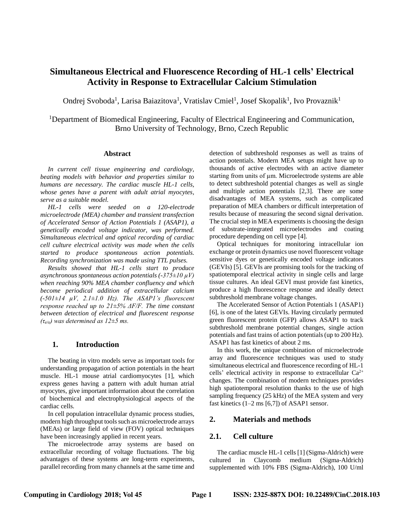# **Simultaneous Electrical and Fluorescence Recording of HL-1 cells' Electrical Activity in Response to Extracellular Calcium Stimulation**

Ondrej Svoboda<sup>1</sup>, Larisa Baiazitova<sup>1</sup>, Vratislav Cmiel<sup>1</sup>, Josef Skopalik<sup>1</sup>, Ivo Provaznik<sup>1</sup>

<sup>1</sup>Department of Biomedical Engineering, Faculty of Electrical Engineering and Communication, Brno University of Technology, Brno, Czech Republic

#### **Abstract**

*In current cell tissue engineering and cardiology, beating models with behavior and properties similar to humans are necessary. The cardiac muscle HL-1 cells, whose genes have a parent with adult atrial myocytes, serve as a suitable model.*

*HL-1 cells were seeded on a 120-electrode microelectrode (MEA) chamber and transient transfection of Accelerated Sensor of Action Potentials 1 (ASAP1), a genetically encoded voltage indicator, was performed. Simultaneous electrical and optical recording of cardiac cell culture electrical activity was made when the cells started to produce spontaneous action potentials. Recording synchronization was made using TTL pulses.*

*Results showed that HL-1 cells start to produce asynchronous spontaneous action potentials (-375±10 µV) when reaching 90% MEA chamber confluency and which become periodical addition of extracellular calcium (-501±14 µV, 2.1±1.0 Hz). The ASAP1's fluorescent response reached up to 21±5% ΔF/F. The time constant between detection of electrical and fluorescent response (τe/o) was determined as 12±5 ms.*

#### **1. Introduction**

The beating in vitro models serve as important tools for understanding propagation of action potentials in the heart muscle. HL-1 mouse atrial cardiomyocytes [1], which express genes having a pattern with adult human atrial myocytes, give important information about the correlation of biochemical and electrophysiological aspects of the cardiac cells.

In cell population intracellular dynamic process studies, modern high throughput tools such as microelectrode arrays (MEAs) or large field of view (FOV) optical techniques have been increasingly applied in recent years.

The microelectrode array systems are based on extracellular recording of voltage fluctuations. The big advantages of these systems are long-term experiments, parallel recording from many channels at the same time and

detection of subthreshold responses as well as trains of action potentials. Modern MEA setups might have up to thousands of active electrodes with an active diameter starting from units of  $\mu$ m. Microelectrode systems are able to detect subthreshold potential changes as well as single and multiple action potentials [2,3]. There are some disadvantages of MEA systems, such as complicated preparation of MEA chambers or difficult interpretation of results because of measuring the second signal derivation. The crucial step in MEA experiments is choosing the design of substrate-integrated microelectrodes and coating procedure depending on cell type [4].

Optical techniques for monitoring intracellular ion exchange or protein dynamics use novel fluorescent voltage sensitive dyes or genetically encoded voltage indicators (GEVIs) [5]. GEVIs are promising tools for the tracking of spatiotemporal electrical activity in single cells and large tissue cultures. An ideal GEVI must provide fast kinetics, produce a high fluorescence response and ideally detect subthreshold membrane voltage changes.

The Accelerated Sensor of Action Potentials 1 (ASAP1) [6], is one of the latest GEVIs. Having circularly permuted green fluorescent protein (GFP) allows ASAP1 to track subthreshold membrane potential changes, single action potentials and fast trains of action potentials (up to 200 Hz). ASAP1 has fast kinetics of about 2 ms.

In this work, the unique combination of microelectrode array and fluorescence techniques was used to study simultaneous electrical and fluorescence recording of HL-1 cells' electrical activity in response to extracellular  $Ca^{2+}$ changes. The combination of modern techniques provides high spatiotemporal resolution thanks to the use of high sampling frequency (25 kHz) of the MEA system and very fast kinetics  $(1-2 \text{ ms } [6,7])$  of ASAP1 sensor.

#### **2. Materials and methods**

### **2.1. Cell culture**

The cardiac muscle HL-1 cells[1] (Sigma-Aldrich) were cultured in Claycomb medium (Sigma-Aldrich) supplemented with 10% FBS (Sigma-Aldrich), 100 U/ml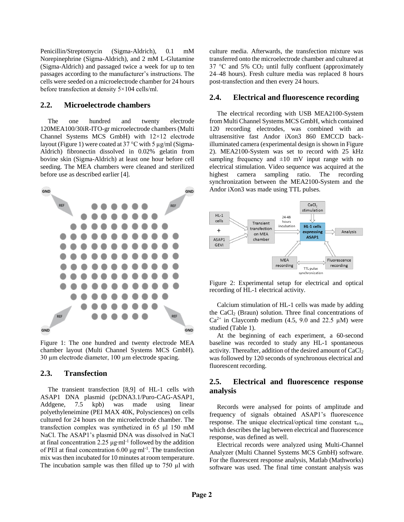Penicillin/Streptomycin (Sigma-Aldrich), 0.1 mM Norepinephrine (Sigma-Aldrich), and 2 mM L-Glutamine (Sigma-Aldrich) and passaged twice a week for up to ten passages according to the manufacturer's instructions. The cells were seeded on a microelectrode chamber for 24 hours before transfection at density 5×104 cells/ml.

#### **2.2. Microelectrode chambers**

The one hundred and twenty electrode 120MEA100/30iR-ITO-gr microelectrode chambers (Multi Channel Systems MCS GmbH) with 12×12 electrode layout [\(Figure 1\)](#page-1-0) were coated at  $37^{\circ}$ C with 5 µg/ml (Sigma-Aldrich) fibronectin dissolved in 0.02% gelatin from bovine skin (Sigma-Aldrich) at least one hour before cell seeding. The MEA chambers were cleaned and sterilized before use as described earlier [4].



<span id="page-1-0"></span>Figure 1: The one hundred and twenty electrode MEA chamber layout (Multi Channel Systems MCS GmbH). 30 µm electrode diameter, 100 µm electrode spacing.

#### **2.3. Transfection**

The transient transfection [8,9] of HL-1 cells with ASAP1 DNA plasmid (pcDNA3.1/Puro-CAG-ASAP1, Addgene, 7.5 kpb) was made using linear polyethyleneimine (PEI MAX 40K, Polysciences) on cells cultured for 24 hours on the microelectrode chamber. The transfection complex was synthetized in 65 μl 150 mM NaCl. The ASAP1's plasmid DNA was dissolved in NaCl at final concentration 2.25 μg⋅ml<sup>-1</sup> followed by the addition of PEI at final concentration 6.00 μg⋅ml<sup>-1</sup>. The transfection mix was then incubated for 10 minutes at room temperature. The incubation sample was then filled up to 750 µl with

culture media. Afterwards, the transfection mixture was transferred onto the microelectrode chamber and cultured at 37 °C and 5%  $CO<sub>2</sub>$  until fully confluent (approximately 24–48 hours). Fresh culture media was replaced 8 hours post-transfection and then every 24 hours.

#### **2.4. Electrical and fluorescence recording**

The electrical recording with USB MEA2100-System from Multi Channel Systems MCS GmbH, which contained 120 recording electrodes, was combined with an ultrasensitive fast Andor iXon3 860 EMCCD backilluminated camera (experimental design is shown in Figure [2\)](#page-1-1). MEA2100-System was set to record with 25 kHz sampling frequency and  $\pm 10$  mV input range with no electrical stimulation. Video sequence was acquired at the highest camera sampling ratio. The recording synchronization between the MEA2100-System and the Andor iXon3 was made using TTL pulses.



<span id="page-1-1"></span>Figure 2: Experimental setup for electrical and optical recording of HL-1 electrical activity.

Calcium stimulation of HL-1 cells was made by adding the CaCl<sub>2</sub> (Braun) solution. Three final concentrations of  $Ca^{2+}$  in Claycomb medium (4.5, 9.0 and 22.5 µM) were studied [\(Table 1\)](#page-2-0).

At the beginning of each experiment, a 60-second baseline was recorded to study any HL-1 spontaneous activity. Thereafter, addition of the desired amount of  $CaCl<sub>2</sub>$ was followed by 120 seconds of synchronous electrical and fluorescent recording.

# **2.5. Electrical and fluorescence response analysis**

Records were analysed for points of amplitude and frequency of signals obtained ASAP1's fluorescence response. The unique electrical/optical time constant  $\tau_{e/o}$ , which describes the lag between electrical and fluorescence response, was defined as well.

Electrical records were analyzed using Multi-Channel Analyzer (Multi Channel Systems MCS GmbH) software. For the fluorescent response analysis, Matlab (Mathworks) software was used. The final time constant analysis was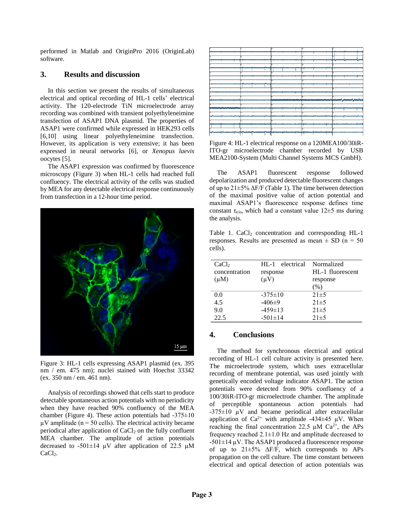performed in Matlab and OriginPro 2016 (OriginLab) software.

### **3. Results and discussion**

In this section we present the results of simultaneous electrical and optical recording of HL-1 cells' electrical activity. The 120-electrode TiN microelectrode array recording was combined with transient polyethyleneimine transfection of ASAP1 DNA plasmid. The properties of ASAP1 were confirmed while expressed in HEK293 cells [6,10] using linear polyethyleneimine transfection. However, its application is very extensive; it has been expressed in neural networks [6], or *Xenopus laevis* oocytes [5].

The ASAP1 expression was confirmed by fluorescence microscopy [\(Figure 3\)](#page-2-1) when HL-1 cells had reached full confluency. The electrical activity of the cells was studied by MEA for any detectable electrical response continuously from transfection in a 12-hour time period.



<span id="page-2-1"></span>Figure 3: HL-1 cells expressing ASAP1 plasmid (ex. 395 nm / em. 475 nm); nuclei stained with Hoechst 33342 (ex. 350 nm / em. 461 nm).

Analysis of recordings showed that cells start to produce detectable spontaneous action potentials with no periodicity when they have reached 90% confluency of the MEA chamber (Figure 4). These action potentials had  $-375\pm10$  $\mu$ V amplitude (n = 50 cells). The electrical activity became periodical after application of  $CaCl<sub>2</sub>$  on the fully confluent MEA chamber. The amplitude of action potentials decreased to -501 $\pm$ 14 µV after application of 22.5 µM CaCl<sub>2</sub>.

Figure 4: HL-1 electrical response on a 120MEA100/30iR-ITO-gr microelectrode chamber recorded by USB MEA2100-System (Multi Channel Systems MCS GmbH).

The ASAP1 fluorescent response followed depolarization and produced detectable fluorescent changes of up to  $21\pm5\%$   $\Delta$ F/F [\(Table 1\)](#page-2-0). The time between detection of the maximal positive value of action potential and maximal ASAP1's fluorescence response defines time constant  $\tau_{e/o}$ , which had a constant value 12 $\pm$ 5 ms during the analysis.

<span id="page-2-0"></span>Table 1.  $CaCl<sub>2</sub>$  concentration and corresponding HL-1 responses. Results are presented as mean  $\pm$  SD (n = 50) cells).

| CaCl <sub>2</sub> | $HL-1$        | electrical Normalized |
|-------------------|---------------|-----------------------|
| concentration     | response      | HL-1 fluorescent      |
| $(\mu M)$         | $(\mu V)$     | response              |
|                   |               | (% )                  |
| 0.0               | $-375 \pm 10$ | $21 \pm 5$            |
| 4.5               | $-406\pm9$    | $21 \pm 5$            |
| 9.0               | $-459\pm13$   | $21\pm 5$             |
| 22.5              | $-501 \pm 14$ | $21 \pm 5$            |

#### **4. Conclusions**

The method for synchronous electrical and optical recording of HL-1 cell culture activity is presented here. The microelectrode system, which uses extracellular recording of membrane potential, was used jointly with genetically encoded voltage indicator ASAP1. The action potentials were detected from 90% confluency of a 100/30iR-ITO-gr microelectrode chamber. The amplitude of perceptible spontaneous action potentials had  $-375\pm10$  µV and became periodical after extracellular application of  $Ca^{2+}$  with amplitude -434 $\pm$ 45 µV. When reaching the final concentration 22.5  $\mu$ M Ca<sup>2+</sup>, the APs frequency reached 2.1±1.0 Hz and amplitude decreased to  $-501\pm14$  µV. The ASAP1 produced a fluorescence response of up to  $21\pm5\%$   $\Delta F/F$ , which corresponds to APs propagation on the cell culture. The time constant between electrical and optical detection of action potentials was